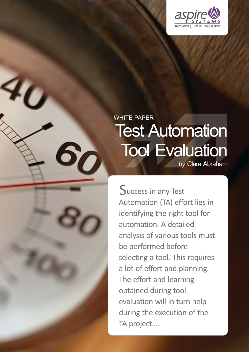

# WHITE PAPER **Test Automation** Tool Evaluation *by* Clara Abraham

Success in any Test Automation (TA) effort lies in identifying the right tool for automation. A detailed analysis of various tools must be performed before selecting a tool. This requires a lot of effort and planning. The effort and learning obtained during tool evaluation will in turn help during the execution of the TA project....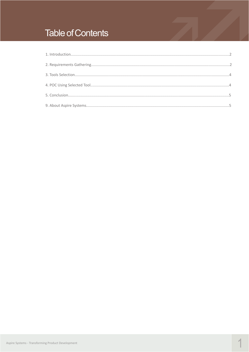## **Table of Contents**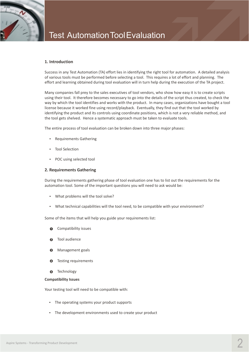<span id="page-2-0"></span>

#### **1. Introduction**

Success in any Test Automation (TA) effort lies in identifying the right tool for automation. A detailed analysis of various tools must be performed before selecting a tool. This requires a lot of effort and planning. The effort and learning obtained during tool evaluation will in turn help during the execution of the TA project.

Many companies fall prey to the sales executives of tool vendors, who show how easy it is to create scripts using their tool. It therefore becomes necessary to go into the details of the script thus created, to check the way by which the tool identifies and works with the product. In many cases, organizations have bought a tool license because it worked fine using record/playback. Eventually, they find out that the tool worked by identifying the product and its controls using coordinate positions, which is not a very reliable method, and the tool gets shelved. Hence a systematic approach must be taken to evaluate tools.

The entire process of tool evaluation can be broken down into three major phases:

- Requirements Gathering
- Tool Selection
- POC using selected tool

#### **2. Requirements Gathering**

During the requirements gathering phase of tool evaluation one has to list out the requirements for the automation tool. Some of the important questions you will need to ask would be:

- What problems will the tool solve?
- What technical capabilities will the tool need, to be compatible with your environment?

Some of the items that will help you guide your requirements list:

- Compatibility issues  $\theta$
- Tool audience **2**
- lManagement goals **3**
- Testing requirements **4**
- **Technology 5**

#### **Compatibility Issues**

Your testing tool will need to be compatible with:

- The operating systems your product supports
- The development environments used to create your product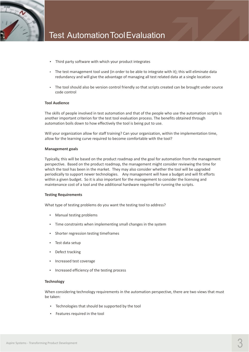

- Third party software with which your product integrates
- The test management tool used (in order to be able to integrate with it); this will eliminate data redundancy and will give the advantage of managing all test related data at a single location
- The tool should also be version control friendly so that scripts created can be brought under source code control

#### **Tool Audience**

The skills of people involved in test automation and that of the people who use the automation scripts is another important criterion for the test tool evaluation process. The benefits obtained through automation boils down to how effectively the tool is being put to use.

Will your organization allow for staff training? Can your organization, within the implementation time, allow for the learning curve required to become comfortable with the tool?

#### **Management goals**

Typically, this will be based on the product roadmap and the goal for automation from the management perspective. Based on the product roadmap, the management might consider reviewing the time for which the tool has been in the market. They may also consider whether the tool will be upgraded periodically to support newer technologies. Any management will have a budget and will fit efforts within a given budget. So it is also important for the management to consider the licensing and maintenance cost of a tool and the additional hardware required for running the scripts.

#### **Testing Requirements**

What type of testing problems do you want the testing tool to address?

- Manual testing problems
- Time constraints when implementing small changes in the system
- Shorter regression testing timeframes
- Test data setup
- Defect tracking
- Increased test coverage
- Increased efficiency of the testing process

#### **Technology**

When considering technology requirements in the automation perspective, there are two views that must be taken:

- Technologies that should be supported by the tool
- Features required in the tool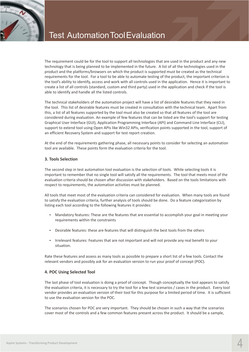<span id="page-4-0"></span>

The requirement could be for the tool to support all technologies that are used in the product and any new technology that is being planned to be implemented in the future. A list of all the technologies used in the product and the platforms/browsers on which the product is supported must be created as the technical requirements for the tool. For a tool to be able to automate testing of the product, the important criterion is the tool's ability to identify, access and work with all controls used in the application. Hence it is important to create a list of all controls (standard, custom and third party) used in the application and check if the tool is able to identify and handle all the listed controls.

The technical stakeholders of the automation project will have a list of desirable features that they need in the tool. This list of desirable features must be created in consultation with the technical team. Apart from this, a list of all features supported by the tool must also be created so that all features of the tool are considered during evaluation. An example of few features that can be listed are the tool's support for testing Graphical User Interface (GUI), Application Programming Interface (API) and Command Line Interface (CLI), support to extend tool using Open APIs like Win32 APIs, verification points supported in the tool, support of an efficient Recovery System and support for test report creation.

At the end of the requirements gathering phase, all necessary points to consider for selecting an automation tool are available. These points form the evaluation criteria for the tool.

#### **3. Tools Selection**

The second step in test automation tool evaluation is the selection of tools. While selecting tools it is important to remember that no single tool will satisfy all the requirements. The tool that meets most of the evaluation criteria should be chosen after discussion with stakeholders. Based on the tools limitations with respect to requirements, the automation activities must be planned.

All tools that meet most of the evaluation criteria can considered for evaluation. When many tools are found to satisfy the evaluation criteria, further analysis of tools should be done. Do a feature categorization by listing each tool according to the following features it provides:

- Mandatory features: These are the features that are essential to accomplish your goal in meeting your requirements within the constraints
- Desirable features: these are features that will distinguish the best tools from the others
- Irrelevant features: Features that are not important and will not provide any real benefit to your situation.

Rate these features and assess as many tools as possible to prepare a short list of a few tools. Contact the relevant vendors and possibly ask for an evaluation version to run your proof of concept (POC).

#### **4. POC Using Selected Tool**

The last phase of tool evaluation is doing a proof of concept. Though conceptually the tool appears to satisfy the evaluation criteria, it is necessary to try the tool for a few test scenarios / cases in the product. Every tool vendor provides an evaluation version of their tool for this purpose for a limited period of time. It is sufficient to use the evaluation version for the POC.

The scenarios chosen for POC are very important. They should be chosen in such a way that the scenarios cover most of the controls and a few common features present across the product. It should be a sample,